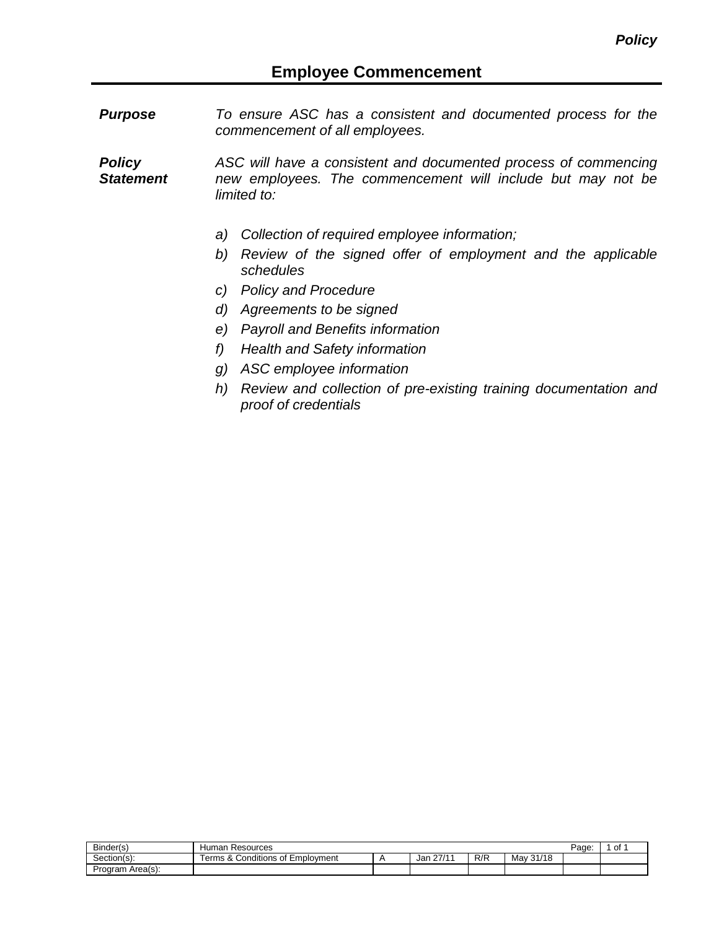*Purpose To ensure ASC has a consistent and documented process for the commencement of all employees.*

*Policy Statement ASC will have a consistent and documented process of commencing new employees. The commencement will include but may not be limited to:*

- *a) Collection of required employee information;*
- *b) Review of the signed offer of employment and the applicable schedules*
- *c) Policy and Procedure*
- *d) Agreements to be signed*
- *e) Payroll and Benefits information*
- *f) Health and Safety information*
- *g) ASC employee information*
- *h) Review and collection of pre-existing training documentation and proof of credentials*

| Binder(s)           | Resources<br>Human                                           |              |     |                     | Page: | 0f |
|---------------------|--------------------------------------------------------------|--------------|-----|---------------------|-------|----|
| -<br>Section(s):    | Conditions of<br>$\circ$<br>* Emplovment<br>erms<br>$\alpha$ | 27/11<br>Jar | R/R | 31/18<br>Mav<br>31/ |       |    |
| Area(s):<br>Program |                                                              |              |     |                     |       |    |